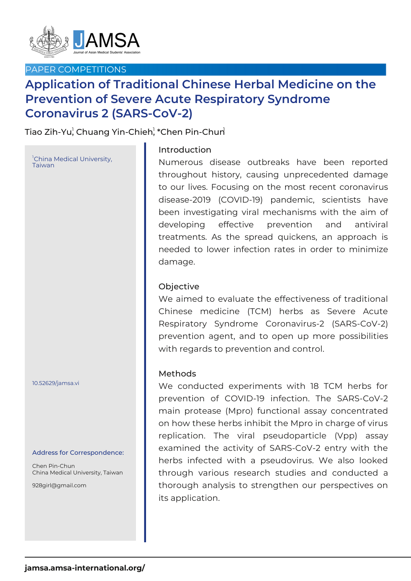

## PAPER COMPETITIONS

# **Application of Traditional Chinese Herbal Medicine on the Prevention of Severe Acute Respiratory Syndrome Coronavirus 2 (SARS-CoV-2)**

Tiao Zih-Yu¦ Chuang Yin-Chieh¦ \*Chen Pin-Chun

<sup>1</sup>China Medical University, Taiwan

10.52629/jamsa.vi

#### Address for Correspondence:

Chen Pin-Chun China Medical University, Taiwan

928girl@gmail.com

## Introduction

Numerous disease outbreaks have been reported throughout history, causing unprecedented damage to our lives. Focusing on the most recent coronavirus disease-2019 (COVID-19) pandemic, scientists have been investigating viral mechanisms with the aim of developing effective prevention and antiviral treatments. As the spread quickens, an approach is needed to lower infection rates in order to minimize damage.

### Objective

We aimed to evaluate the effectiveness of traditional Chinese medicine (TCM) herbs as Severe Acute Respiratory Syndrome Coronavirus-2 (SARS-CoV-2) prevention agent, and to open up more possibilities with regards to prevention and control.

#### Methods

We conducted experiments with 18 TCM herbs for prevention of COVID-19 infection. The SARS-CoV-2 main protease (Mpro) functional assay concentrated on how these herbs inhibit the Mpro in charge of virus replication. The viral pseudoparticle (Vpp) assay examined the activity of SARS-CoV-2 entry with the herbs infected with a pseudovirus. We also looked through various research studies and conducted a thorough analysis to strengthen our perspectives on its application.